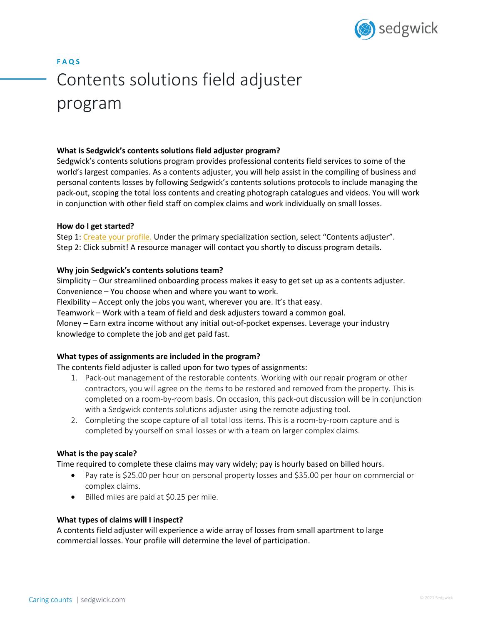

# **F A Q S** Contents solutions field adjuster program

## **What is Sedgwick's contents solutions field adjuster program?**

Sedgwick's contents solutions program provides professional contents field services to some of the world's largest companies. As a contents adjuster, you will help assist in the compiling of business and personal contents losses by following Sedgwick's contents solutions protocols to include managing the pack-out, scoping the total loss contents and creating photograph catalogues and videos. You will work in conjunction with other field staff on complex claims and work individually on small losses.

#### **How do I get started?**

Step 1: Create your profile. Under the primary specialization section, select "Contents adjuster". Step 2: Click submit! A resource manager will contact you shortly to discuss program details.

## **Why join Sedgwick's contents solutions team?**

Simplicity – Our streamlined onboarding process makes it easy to get set up as a contents adjuster. Convenience – You choose when and where you want to work. Flexibility – Accept only the jobs you want, wherever you are. It's that easy. Teamwork – Work with a team of field and desk adjusters toward a common goal. Money – Earn extra income without any initial out-of-pocket expenses. Leverage your industry knowledge to complete the job and get paid fast.

# **What types of assignments are included in the program?**

The contents field adjuster is called upon for two types of assignments:

- 1. Pack-out management of the restorable contents. Working with our repair program or other contractors, you will agree on the items to be restored and removed from the property. This is completed on a room-by-room basis. On occasion, this pack-out discussion will be in conjunction with a Sedgwick contents solutions adjuster using the remote adjusting tool.
- 2. Completing the scope capture of all total loss items. This is a room-by-room capture and is completed by yourself on small losses or with a team on larger complex claims.

#### **What is the pay scale?**

Time required to complete these claims may vary widely; pay is hourly based on billed hours.

- Pay rate is \$25.00 per hour on personal property losses and \$35.00 per hour on commercial or complex claims.
- Billed miles are paid at \$0.25 per mile.

#### **What types of claims will I inspect?**

A contents field adjuster will experience a wide array of losses from small apartment to large commercial losses. Your profile will determine the level of participation.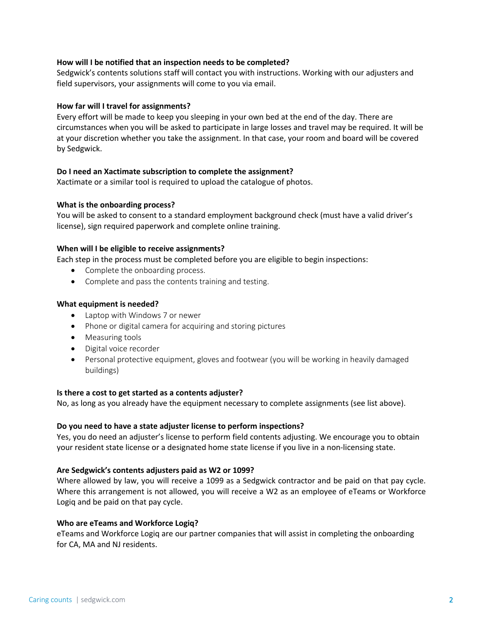## **How will I be notified that an inspection needs to be completed?**

Sedgwick's contents solutions staff will contact you with instructions. Working with our adjusters and field supervisors, your assignments will come to you via email.

## **How far will I travel for assignments?**

Every effort will be made to keep you sleeping in your own bed at the end of the day. There are circumstances when you will be asked to participate in large losses and travel may be required. It will be at your discretion whether you take the assignment. In that case, your room and board will be covered by Sedgwick.

## **Do I need an Xactimate subscription to complete the assignment?**

Xactimate or a similar tool is required to upload the catalogue of photos.

## **What is the onboarding process?**

You will be asked to consent to a standard employment background check (must have a valid driver's license), sign required paperwork and complete online training.

## **When will I be eligible to receive assignments?**

Each step in the process must be completed before you are eligible to begin inspections:

- Complete the onboarding process.
- Complete and pass the contents training and testing.

## **What equipment is needed?**

- Laptop with Windows 7 or newer
- Phone or digital camera for acquiring and storing pictures
- Measuring tools
- Digital voice recorder
- Personal protective equipment, gloves and footwear (you will be working in heavily damaged buildings)

#### **Is there a cost to get started as a contents adjuster?**

No, as long as you already have the equipment necessary to complete assignments (see list above).

#### **Do you need to have a state adjuster license to perform inspections?**

Yes, you do need an adjuster's license to perform field contents adjusting. We encourage you to obtain your resident state license or a designated home state license if you live in a non-licensing state.

#### **Are Sedgwick's contents adjusters paid as W2 or 1099?**

Where allowed by law, you will receive a 1099 as a Sedgwick contractor and be paid on that pay cycle. Where this arrangement is not allowed, you will receive a W2 as an employee of eTeams or Workforce Logiq and be paid on that pay cycle.

#### **Who are eTeams and Workforce Logiq?**

eTeams and Workforce Logiq are our partner companies that will assist in completing the onboarding for CA, MA and NJ residents.